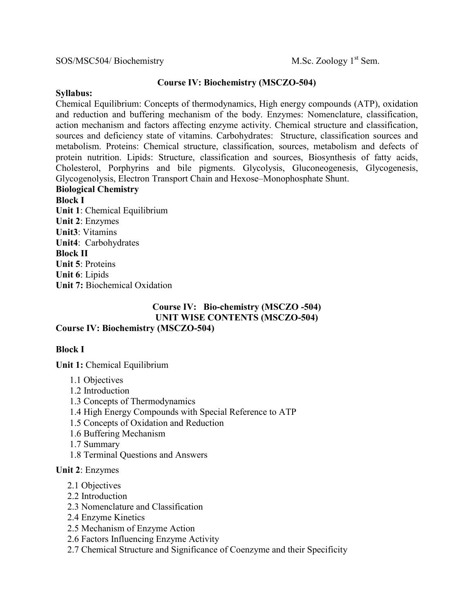### SOS/MSC504/ Biochemistry M.Sc. Zoology 1<sup>st</sup> Sem.

### **Course IV: Biochemistry (MSCZO-504)**

### **Syllabus:**

Chemical Equilibrium: Concepts of thermodynamics, High energy compounds (ATP), oxidation and reduction and buffering mechanism of the body. Enzymes: Nomenclature, classification, action mechanism and factors affecting enzyme activity. Chemical structure and classification, sources and deficiency state of vitamins. Carbohydrates: Structure, classification sources and metabolism. Proteins: Chemical structure, classification, sources, metabolism and defects of protein nutrition. Lipids: Structure, classification and sources, Biosynthesis of fatty acids, Cholesterol, Porphyrins and bile pigments. Glycolysis, Gluconeogenesis, Glycogenesis, Glycogenolysis, Electron Transport Chain and Hexose–Monophosphate Shunt.

# **Biological Chemistry Block I Unit 1**: Chemical Equilibrium **Unit 2**: Enzymes **Unit3**: Vitamins **Unit4**: Carbohydrates **Block II Unit 5**: Proteins **Unit 6**: Lipids **Unit 7:** Biochemical Oxidation

### **Course IV: Bio-chemistry (MSCZO -504) UNIT WISE CONTENTS (MSCZO-504) Course IV: Biochemistry (MSCZO-504)**

# **Block I**

**Unit 1:** Chemical Equilibrium

- 1.1 Objectives
- 1.2 Introduction
- 1.3 Concepts of Thermodynamics
- 1.4 High Energy Compounds with Special Reference to ATP
- 1.5 Concepts of Oxidation and Reduction
- 1.6 Buffering Mechanism
- 1.7 Summary
- 1.8 Terminal Questions and Answers

#### **Unit 2**: Enzymes

- 2.1 Objectives
- 2.2 Introduction
- 2.3 Nomenclature and Classification
- 2.4 Enzyme Kinetics
- 2.5 Mechanism of Enzyme Action
- 2.6 Factors Influencing Enzyme Activity
- 2.7 Chemical Structure and Significance of Coenzyme and their Specificity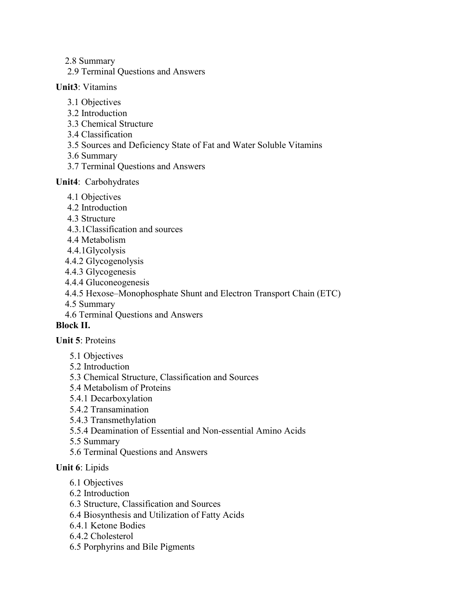- 2.8 Summary
- 2.9 Terminal Questions and Answers

### **Unit3**: Vitamins

- 3.1 Objectives
- 3.2 Introduction
- 3.3 Chemical Structure
- 3.4 Classification
- 3.5 Sources and Deficiency State of Fat and Water Soluble Vitamins
- 3.6 Summary
- 3.7 Terminal Questions and Answers

# **Unit4**: Carbohydrates

- 4.1 Objectives
- 4.2 Introduction
- 4.3 Structure
- 4.3.1Classification and sources
- 4.4 Metabolism
- 4.4.1Glycolysis
- 4.4.2 Glycogenolysis
- 4.4.3 Glycogenesis
- 4.4.4 Gluconeogenesis
- 4.4.5 Hexose–Monophosphate Shunt and Electron Transport Chain (ETC)
- 4.5 Summary
- 4.6 Terminal Questions and Answers

# **Block II.**

# **Unit 5**: Proteins

- 5.1 Objectives
- 5.2 Introduction
- 5.3 Chemical Structure, Classification and Sources
- 5.4 Metabolism of Proteins
- 5.4.1 Decarboxylation
- 5.4.2 Transamination
- 5.4.3 Transmethylation
- 5.5.4 Deamination of Essential and Non-essential Amino Acids
- 5.5 Summary
- 5.6 Terminal Questions and Answers

# **Unit 6**: Lipids

- 6.1 Objectives
- 6.2 Introduction
- 6.3 Structure, Classification and Sources
- 6.4 Biosynthesis and Utilization of Fatty Acids
- 6.4.1 Ketone Bodies
- 6.4.2 Cholesterol
- 6.5 Porphyrins and Bile Pigments